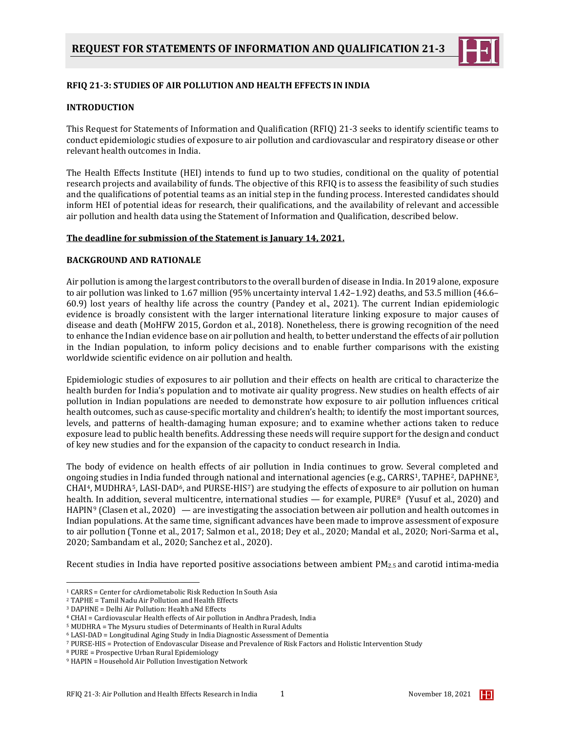

# **RFIQ 21-3: STUDIES OF AIR POLLUTION AND HEALTH EFFECTS IN INDIA**

## **INTRODUCTION**

This Request for Statements of Information and Qualification (RFIQ) 21-3 seeks to identify scientific teams to conduct epidemiologic studies of exposure to air pollution and cardiovascular and respiratory disease or other relevant health outcomes in India.

The Health Effects Institute (HEI) intends to fund up to two studies, conditional on the quality of potential research projects and availability of funds. The objective of this RFIQ is to assess the feasibility of such studies and the qualifications of potential teams as an initial step in the funding process. Interested candidates should inform HEI of potential ideas for research, their qualifications, and the availability of relevant and accessible air pollution and health data using the Statement of Information and Qualification, described below.

### **The deadline for submission of the Statement is January 14, 2021.**

### **BACKGROUND AND RATIONALE**

Air pollution is among the largest contributors to the overall burden of disease in India. In 2019 alone, exposure to air pollution was linked to 1.67 million (95% uncertainty interval 1.42–1.92) deaths, and 53.5 million (46.6– 60.9) lost years of healthy life across the country (Pandey et al., 2021). The current Indian epidemiologic evidence is broadly consistent with the larger international literature linking exposure to major causes of disease and death (MoHFW 2015, Gordon et al., 2018). Nonetheless, there is growing recognition of the need to enhance the Indian evidence base on air pollution and health, to better understand the effects of air pollution in the Indian population, to inform policy decisions and to enable further comparisons with the existing worldwide scientific evidence on air pollution and health.

Epidemiologic studies of exposures to air pollution and their effects on health are critical to characterize the health burden for India's population and to motivate air quality progress. New studies on health effects of air pollution in Indian populations are needed to demonstrate how exposure to air pollution influences critical health outcomes, such as cause-specific mortality and children's health; to identify the most important sources, levels, and patterns of health-damaging human exposure; and to examine whether actions taken to reduce exposure lead to public health benefits. Addressing these needs will require support for the design and conduct of key new studies and for the expansion of the capacity to conduct research in India.

The body of evidence on health effects of air pollution in India continues to grow. Several completed and ongoing studies in India funded through national and international agencies (e.g., CARRS<sup>1</sup>, TAPHE<sup>2</sup>, DAPHNE<sup>3</sup>,  $CHAI<sup>4</sup>$  $CHAI<sup>4</sup>$  $CHAI<sup>4</sup>$ , MUDHRA<sup>[5](#page-0-4)</sup>, LASI-DAD<sup>6</sup>, and PURSE-HIS<sup>7</sup>) are studying the effects of exposure to air pollution on human health. In addition, several multicentre, international studies — for example, PURE<sup>[8](#page-0-7)</sup> (Yusuf et al., 2020) and HAPIN[9](#page-0-8) (Clasen et al., 2020) — are investigating the association between air pollution and health outcomes in Indian populations. At the same time, significant advances have been made to improve assessment of exposure to air pollution (Tonne et al., 2017; Salmon et al., 2018; Dey et al., 2020; Mandal et al., 2020; Nori-Sarma et al., 2020; Sambandam et al., 2020; Sanchez et al., 2020).

Recent studies in India have reported positive associations between ambient PM2.5 and carotid intima-media

<span id="page-0-0"></span><sup>1</sup> CARRS = Center for cArdiometabolic Risk Reduction In South Asia

<span id="page-0-1"></span><sup>2</sup> TAPHE = Tamil Nadu Air Pollution and Health Effects

<span id="page-0-2"></span><sup>3</sup> DAPHNE = Delhi Air Pollution: Health aNd Effects

<span id="page-0-3"></span><sup>4</sup> CHAI = Cardiovascular Health effects of Air pollution in Andhra Pradesh, India

<span id="page-0-4"></span><sup>5</sup> MUDHRA = The Mysuru studies of Determinants of Health in Rural Adults

<span id="page-0-5"></span><sup>6</sup> LASI-DAD = Longitudinal Aging Study in India Diagnostic Assessment of Dementia

<span id="page-0-6"></span><sup>7</sup> PURSE-HIS = Protection of Endovascular Disease and Prevalence of Risk Factors and Holistic Intervention Study

<span id="page-0-7"></span>

<span id="page-0-8"></span><sup>&</sup>lt;sup>9</sup> HAPIN = Household Air Pollution Investigation Network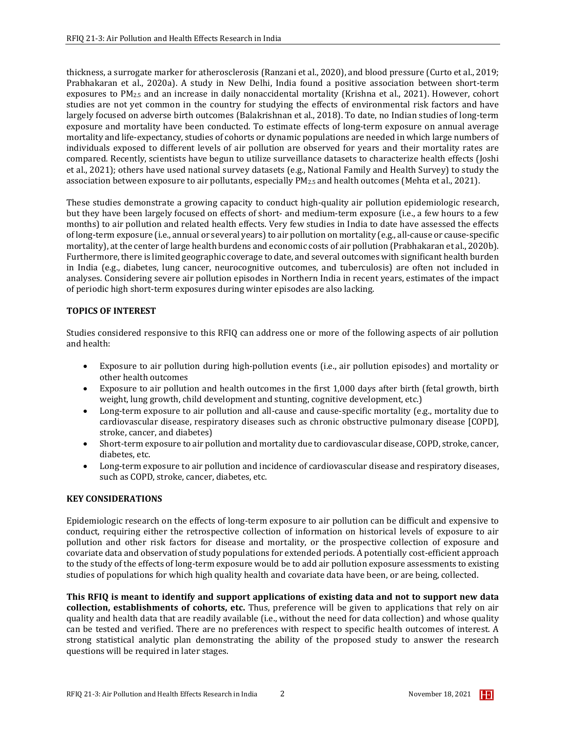thickness, a surrogate marker for atherosclerosis (Ranzani et al., 2020), and blood pressure (Curto et al., 2019; Prabhakaran et al., 2020a). A study in New Delhi, India found a positive association between short-term exposures to PM2.5 and an increase in daily nonaccidental mortality (Krishna et al., 2021). However, cohort studies are not yet common in the country for studying the effects of environmental risk factors and have largely focused on adverse birth outcomes (Balakrishnan et al., 2018). To date, no Indian studies of long-term exposure and mortality have been conducted. To estimate effects of long-term exposure on annual average mortality and life-expectancy, studies of cohorts or dynamic populations are needed in which large numbers of individuals exposed to different levels of air pollution are observed for years and their mortality rates are compared. Recently, scientists have begun to utilize surveillance datasets to characterize health effects (Joshi et al., 2021); others have used national survey datasets (e.g., National Family and Health Survey) to study the association between exposure to air pollutants, especially PM2.5 and health outcomes (Mehta et al., 2021).

These studies demonstrate a growing capacity to conduct high-quality air pollution epidemiologic research, but they have been largely focused on effects of short- and medium-term exposure (i.e., a few hours to a few months) to air pollution and related health effects. Very few studies in India to date have assessed the effects of long-term exposure (i.e., annual or several years) to air pollution on mortality (e.g., all-cause or cause-specific mortality), at the center of large health burdens and economic costs of air pollution (Prabhakaran et al., 2020b). Furthermore, there is limited geographic coverage to date, and several outcomes with significant health burden in India (e.g., diabetes, lung cancer, neurocognitive outcomes, and tuberculosis) are often not included in analyses. Considering severe air pollution episodes in Northern India in recent years, estimates of the impact of periodic high short-term exposures during winter episodes are also lacking.

# **TOPICS OF INTEREST**

Studies considered responsive to this RFIQ can address one or more of the following aspects of air pollution and health:

- Exposure to air pollution during high-pollution events (i.e., air pollution episodes) and mortality or other health outcomes
- Exposure to air pollution and health outcomes in the first 1,000 days after birth (fetal growth, birth weight, lung growth, child development and stunting, cognitive development, etc.)
- Long-term exposure to air pollution and all-cause and cause-specific mortality (e.g., mortality due to cardiovascular disease, respiratory diseases such as chronic obstructive pulmonary disease [COPD], stroke, cancer, and diabetes)
- Short-term exposure to air pollution and mortality due to cardiovascular disease, COPD, stroke, cancer, diabetes, etc.
- Long-term exposure to air pollution and incidence of cardiovascular disease and respiratory diseases, such as COPD, stroke, cancer, diabetes, etc.

### **KEY CONSIDERATIONS**

Epidemiologic research on the effects of long-term exposure to air pollution can be difficult and expensive to conduct, requiring either the retrospective collection of information on historical levels of exposure to air pollution and other risk factors for disease and mortality, or the prospective collection of exposure and covariate data and observation of study populations for extended periods. A potentially cost-efficient approach to the study of the effects of long-term exposure would be to add air pollution exposure assessments to existing studies of populations for which high quality health and covariate data have been, or are being, collected.

**This RFIQ is meant to identify and support applications of existing data and not to support new data collection, establishments of cohorts, etc.** Thus, preference will be given to applications that rely on air quality and health data that are readily available (i.e., without the need for data collection) and whose quality can be tested and verified. There are no preferences with respect to specific health outcomes of interest. A strong statistical analytic plan demonstrating the ability of the proposed study to answer the research questions will be required in later stages.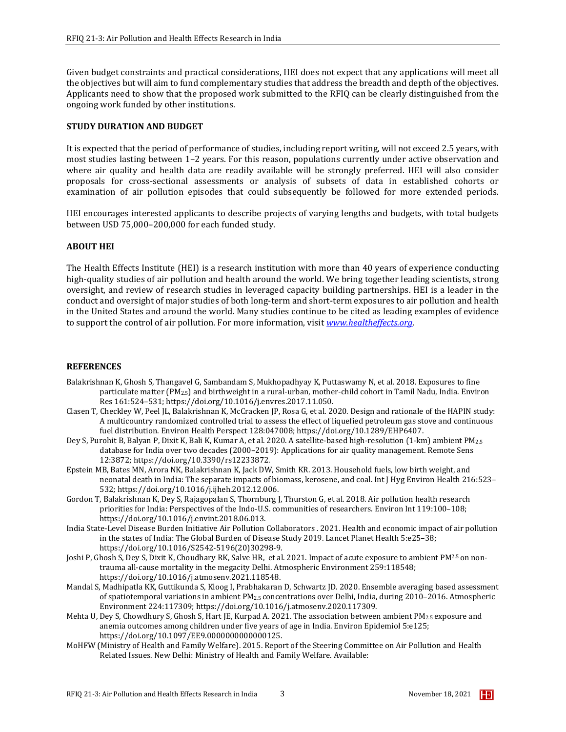Given budget constraints and practical considerations, HEI does not expect that any applications will meet all the objectives but will aim to fund complementary studies that address the breadth and depth of the objectives. Applicants need to show that the proposed work submitted to the RFIQ can be clearly distinguished from the ongoing work funded by other institutions.

## **STUDY DURATION AND BUDGET**

It is expected that the period of performance of studies, including report writing, will not exceed 2.5 years, with most studies lasting between 1–2 years. For this reason, populations currently under active observation and where air quality and health data are readily available will be strongly preferred. HEI will also consider proposals for cross-sectional assessments or analysis of subsets of data in established cohorts or examination of air pollution episodes that could subsequently be followed for more extended periods.

HEI encourages interested applicants to describe projects of varying lengths and budgets, with total budgets between USD 75,000–200,000 for each funded study.

# **ABOUT HEI**

The Health Effects Institute (HEI) is a research institution with more than 40 years of experience conducting high-quality studies of air pollution and health around the world. We bring together leading scientists, strong oversight, and review of research studies in leveraged capacity building partnerships. HEI is a leader in the conduct and oversight of major studies of both long-term and short-term exposures to air pollution and health in the United States and around the world. Many studies continue to be cited as leading examples of evidence to support the control of air pollution. For more information, visit *[www.healtheffects.org](http://www.healtheffects.org/)*.

## **REFERENCES**

- Balakrishnan K, Ghosh S, Thangavel G, Sambandam S, Mukhopadhyay K, Puttaswamy N, et al. 2018. Exposures to fine particulate matter (PM2.5) and birthweight in a rural-urban, mother-child cohort in Tamil Nadu, India. Environ Res 161:524–531; https://doi.org/10.1016/j.envres.2017.11.050.
- Clasen T, Checkley W, Peel JL, Balakrishnan K, McCracken JP, Rosa G, et al. 2020. Design and rationale of the HAPIN study: A multicountry randomized controlled trial to assess the effect of liquefied petroleum gas stove and continuous fuel distribution. Environ Health Perspect 128:047008; https://doi.org/10.1289/EHP6407.
- Dey S, Purohit B, Balyan P, Dixit K, Bali K, Kumar A, et al. 2020. A satellite-based high-resolution (1-km) ambient PM2.5 database for India over two decades (2000–2019): Applications for air quality management. Remote Sens 12:3872; https://doi.org/10.3390/rs12233872.
- Epstein MB, Bates MN, Arora NK, Balakrishnan K, Jack DW, Smith KR. 2013. Household fuels, low birth weight, and neonatal death in India: The separate impacts of biomass, kerosene, and coal. Int J Hyg Environ Health 216:523– 532; https://doi.org/10.1016/j.ijheh.2012.12.006.
- Gordon T, Balakrishnan K, Dey S, Rajagopalan S, Thornburg J, Thurston G, et al. 2018. Air pollution health research priorities for India: Perspectives of the Indo-U.S. communities of researchers. Environ Int 119:100–108; https://doi.org/10.1016/j.envint.2018.06.013.
- [India State-Level Disease Burden Initiative Air Pollution Collaborators](https://pubmed.ncbi.nlm.nih.gov/?term=India+State-Level+Disease+Burden+Initiative+Air+Pollution+Collaborators%5BCorporate+Author%5D) . 2021. Health and economic impact of air pollution in the states of India: The Global Burden of Disease Study 2019. Lancet Planet Health 5:e25–38; https://doi.org/10.1016/S2542-5196(20)30298-9.
- Joshi P, Ghosh S, Dey S, Dixit K, Choudhary RK, Salve HR, et al. 2021. Impact of acute exposure to ambient PM<sup>2.5</sup> on nontrauma all-cause mortality in the megacity Delhi. Atmospheric Environment 259:118548; https://doi.org/10.1016/j.atmosenv.2021.118548.
- Mandal S, Madhipatla KK, Guttikunda S, Kloog I, Prabhakaran D, Schwartz JD. 2020. Ensemble averaging based assessment of spatiotemporal variations in ambient PM2.5 concentrations over Delhi, India, during 2010–2016. Atmospheric Environment 224:117309; https://doi.org/10.1016/j.atmosenv.2020.117309.
- Mehta U, Dey S, Chowdhury S, Ghosh S, Hart JE, Kurpad A. 2021. The association between ambient PM2.5 exposure and anemia outcomes among children under five years of age in India. Environ Epidemiol 5:e125; https://doi.org/10.1097/EE9.0000000000000125.
- MoHFW (Ministry of Health and Family Welfare). 2015. Report of the Steering Committee on Air Pollution and Health Related Issues. New Delhi: Ministry of Health and Family Welfare. Available: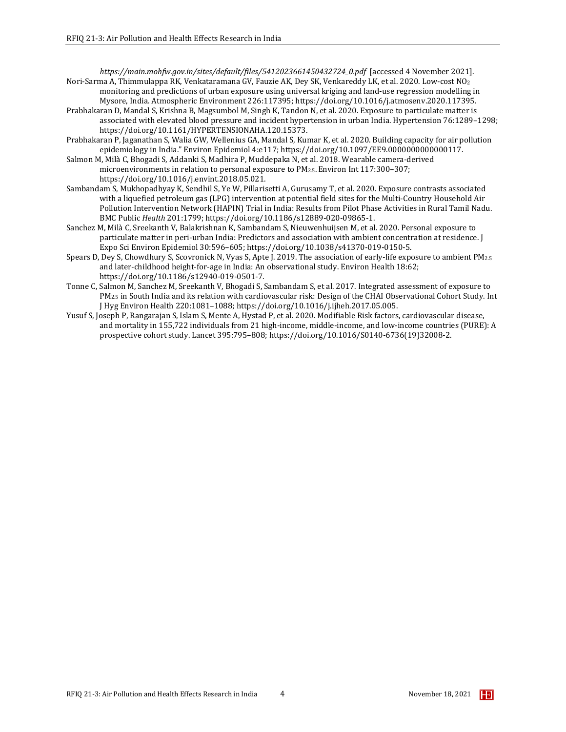*https://main.mohfw.gov.in/sites/default/files/5412023661450432724\_0.pdf* [accessed 4 November 2021]. Nori-Sarma A, Thimmulappa RK, Venkataramana GV, Fauzie AK, Dey SK, Venkareddy LK, et al. 2020. Low-cost NO2 monitoring and predictions of urban exposure using universal kriging and land-use regression modelling in

- Mysore, India. Atmospheric Environment 226:117395; https://doi.org/10.1016/j.atmosenv.2020.117395. Prabhakaran D, Mandal S, Krishna B, Magsumbol M, Singh K, Tandon N, et al. 2020. Exposure to particulate matter is associated with elevated blood pressure and incident hypertension in urban India. Hypertension 76:1289–1298; https://doi.org/10.1161/HYPERTENSIONAHA.120.15373.
- Prabhakaran P, Jaganathan S, Walia GW, Wellenius GA, Mandal S, Kumar K, et al. 2020. Building capacity for air pollution epidemiology in India." Environ Epidemiol 4:e117; https://doi.org/10.1097/EE9.0000000000000117.
- Salmon M, Milà C, Bhogadi S, Addanki S, Madhira P, Muddepaka N, et al. 2018. Wearable camera-derived microenvironments in relation to personal exposure to PM2.5.Environ Int 117:300–307; https://doi.org/10.1016/j.envint.2018.05.021.
- Sambandam S, Mukhopadhyay K, Sendhil S, Ye W, Pillarisetti A, Gurusamy T, et al. 2020. Exposure contrasts associated with a liquefied petroleum gas (LPG) intervention at potential field sites for the Multi-Country Household Air Pollution Intervention Network (HAPIN) Trial in India: Results from Pilot Phase Activities in Rural Tamil Nadu. BMC Public *Health* 201:1799; https://doi.org/10.1186/s12889-020-09865-1.
- Sanchez M, Milà C, Sreekanth V, Balakrishnan K, Sambandam S, Nieuwenhuijsen M, et al. 2020. Personal exposure to particulate matter in peri-urban India: Predictors and association with ambient concentration at residence. J Expo Sci Environ Epidemiol 30:596–605; https://doi.org/10.1038/s41370-019-0150-5.
- Spears D, Dey S, Chowdhury S, Scovronick N, Vyas S, Apte J. 2019. The association of early-life exposure to ambient PM2.5 and later-childhood height-for-age in India: An observational study. Environ Health 18:62; https://doi.org/10.1186/s12940-019-0501-7.
- Tonne C, Salmon M, Sanchez M, Sreekanth V, Bhogadi S, Sambandam S, et al. 2017. Integrated assessment of exposure to PM2.5 in South India and its relation with cardiovascular risk: Design of the CHAI Observational Cohort Study. Int J Hyg Environ Health 220:1081–1088; https://doi.org/10.1016/j.ijheh.2017.05.005.
- Yusuf S, Joseph P, Rangarajan S, Islam S, Mente A, Hystad P, et al. 2020. Modifiable Risk factors, cardiovascular disease, and mortality in 155,722 individuals from 21 high-income, middle-income, and low-income countries (PURE): A prospective cohort study. Lancet 395:795–808; https://doi.org/10.1016/S0140-6736(19)32008-2.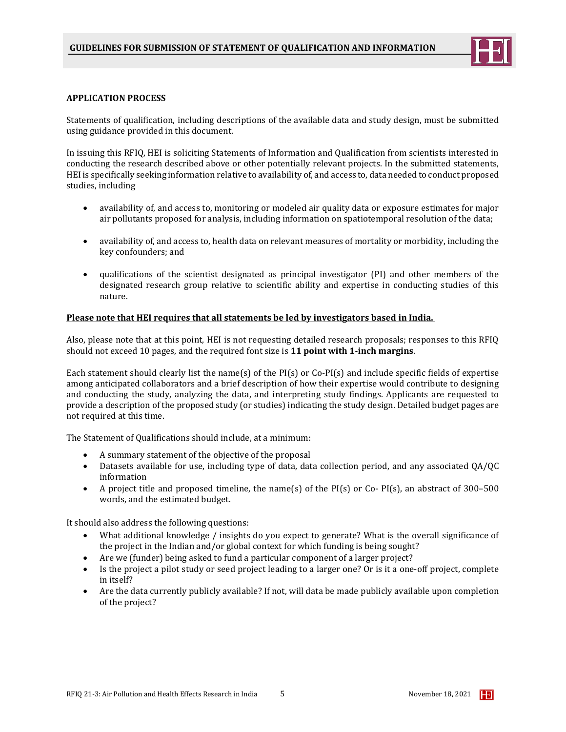

#### **APPLICATION PROCESS**

Statements of qualification, including descriptions of the available data and study design, must be submitted using guidance provided in this document.

In issuing this RFIQ, HEI is soliciting Statements of Information and Qualification from scientists interested in conducting the research described above or other potentially relevant projects. In the submitted statements, HEI is specifically seeking information relative to availability of, and access to, data needed to conduct proposed studies, including

- availability of, and access to, monitoring or modeled air quality data or exposure estimates for major air pollutants proposed for analysis, including information on spatiotemporal resolution of the data;
- availability of, and access to, health data on relevant measures of mortality or morbidity, including the key confounders; and
- qualifications of the scientist designated as principal investigator (PI) and other members of the designated research group relative to scientific ability and expertise in conducting studies of this nature.

### **Please note that HEI requires that all statements be led by investigators based in India.**

Also, please note that at this point, HEI is not requesting detailed research proposals; responses to this RFIQ should not exceed 10 pages, and the required font size is **11 point with 1-inch margins**.

Each statement should clearly list the name(s) of the PI(s) or Co-PI(s) and include specific fields of expertise among anticipated collaborators and a brief description of how their expertise would contribute to designing and conducting the study, analyzing the data, and interpreting study findings. Applicants are requested to provide a description of the proposed study (or studies) indicating the study design. Detailed budget pages are not required at this time.

The Statement of Qualifications should include, at a minimum:

- A summary statement of the objective of the proposal
- Datasets available for use, including type of data, data collection period, and any associated QA/QC information
- A project title and proposed timeline, the name(s) of the PI(s) or Co- PI(s), an abstract of 300–500 words, and the estimated budget.

It should also address the following questions:

- What additional knowledge / insights do you expect to generate? What is the overall significance of the project in the Indian and/or global context for which funding is being sought?
- Are we (funder) being asked to fund a particular component of a larger project?
- Is the project a pilot study or seed project leading to a larger one? Or is it a one-off project, complete in itself?
- Are the data currently publicly available? If not, will data be made publicly available upon completion of the project?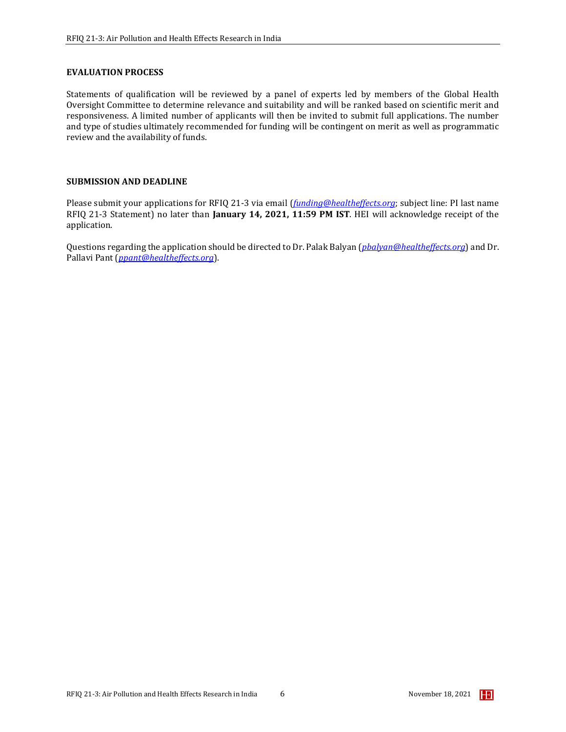### **EVALUATION PROCESS**

Statements of qualification will be reviewed by a panel of experts led by members of the Global Health Oversight Committee to determine relevance and suitability and will be ranked based on scientific merit and responsiveness. A limited number of applicants will then be invited to submit full applications. The number and type of studies ultimately recommended for funding will be contingent on merit as well as programmatic review and the availability of funds.

### **SUBMISSION AND DEADLINE**

Please submit your applications for RFIQ 21-3 via email (*[funding@healtheffects.org](mailto:funding@healtheffects.org)*; subject line: PI last name RFIQ 21-3 Statement) no later than **January 14, 2021, 11:59 PM IST**. HEI will acknowledge receipt of the application.

Questions regarding the application should be directed to Dr. Palak Balyan (*[pbalyan@healtheffects.org](mailto:pbalyan@healtheffects.org)*) and Dr. Pallavi Pant (*ppant@healtheffects.org*).